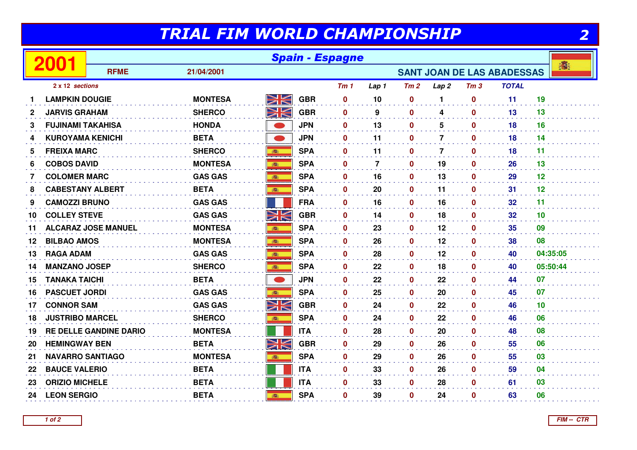## TRIAL FIM WORLD CHAMPIONSHIP

| والمنابع<br>٠ |
|---------------|
|               |

| TRIAL FIM WORLD CHAMPIONSHIP<br>2 |                          |                               |                |           |            |                 |                |              |                  |                  |                                   |          |
|-----------------------------------|--------------------------|-------------------------------|----------------|-----------|------------|-----------------|----------------|--------------|------------------|------------------|-----------------------------------|----------|
|                                   | 2001                     | <b>Spain - Espagne</b>        |                |           |            |                 |                |              |                  |                  |                                   |          |
|                                   |                          | <b>RFME</b>                   | 21/04/2001     |           |            |                 |                |              |                  |                  | <b>SANT JOAN DE LAS ABADESSAS</b> | 濟        |
|                                   | 2 x 12 sections          |                               |                |           |            | Tm <sub>1</sub> | Lap 1          | Tm2          | Lap <sub>2</sub> | Tm <sub>3</sub>  | <b>TOTAL</b>                      |          |
|                                   | <b>LAMPKIN DOUGIE</b>    |                               | <b>MONTESA</b> | NK        | <b>GBR</b> | $\mathbf 0$     | 10             | $\bf{0}$     | 1                | $\bf{0}$         | 11                                | 19       |
| 2                                 | <b>JARVIS GRAHAM</b>     |                               | <b>SHERCO</b>  | NK<br>MK  | <b>GBR</b> | $\mathbf 0$     | 9              | $\mathbf{0}$ | 4                | $\mathbf{0}$     | 13                                | 13       |
| 3                                 | <b>FUJINAMI TAKAHISA</b> |                               | <b>HONDA</b>   |           | <b>JPN</b> | $\mathbf 0$     | 13             | $\mathbf 0$  | 5                | $\mathbf 0$      | 18                                | 16       |
| 4                                 | <b>KUROYAMA KENICHI</b>  |                               | <b>BETA</b>    | $\bullet$ | <b>JPN</b> | $\mathbf{0}$    | 11             | $\mathbf{0}$ | $\overline{7}$   | $\mathbf{0}$     | 18                                | 14       |
| 5.                                | <b>FREIXA MARC</b>       |                               | <b>SHERCO</b>  |           | <b>SPA</b> | $\mathbf 0$     | 11             | $\mathbf{0}$ | $\overline{7}$   | $\mathbf{0}$     | 18                                | 11       |
| 6                                 | <b>COBOS DAVID</b>       |                               | <b>MONTESA</b> | 1         | <b>SPA</b> | $\bf{0}$        | $\overline{7}$ | $\mathbf 0$  | 19               | $\mathbf{0}$     | 26                                | 13       |
| 7                                 | <b>COLOMER MARC</b>      |                               | <b>GAS GAS</b> |           | <b>SPA</b> | $\mathbf 0$     | 16             | 0            | 13               | $\mathbf{0}$     | 29                                | 12       |
| 8                                 | <b>CABESTANY ALBERT</b>  |                               | <b>BETA</b>    | 高         | <b>SPA</b> | $\mathbf 0$     | 20             | 0            | 11               | $\mathbf 0$      | 31                                | 12       |
| 9                                 | <b>CAMOZZI BRUNO</b>     |                               | <b>GAS GAS</b> |           | <b>FRA</b> | $\bf{0}$        | 16             | $\mathbf{0}$ | 16               | $\mathbf{0}$     | 32                                | 11       |
| 10                                | <b>COLLEY STEVE</b>      |                               | <b>GAS GAS</b> | XK        | <b>GBR</b> | $\mathbf 0$     | 14             | $\mathbf 0$  | 18               | $\mathbf{0}$     | 32 <sub>2</sub>                   | 10       |
| 11                                |                          | <b>ALCARAZ JOSE MANUEL</b>    | <b>MONTESA</b> | 商         | <b>SPA</b> | $\bf{0}$        | 23             | $\mathbf{0}$ | 12               | $\bf{0}$         | 35                                | 09       |
| 12                                | <b>BILBAO AMOS</b>       |                               | <b>MONTESA</b> |           | <b>SPA</b> | $\mathbf{0}$    | 26             | $\mathbf 0$  | 12               | $\mathbf{0}$     | 38                                | 08       |
| 13                                | <b>RAGA ADAM</b>         |                               | <b>GAS GAS</b> |           | <b>SPA</b> | $\mathbf{0}$    | 28             | 0            | 12               | 0                | 40                                | 04:35:05 |
| 14                                | <b>MANZANO JOSEP</b>     |                               | <b>SHERCO</b>  |           | <b>SPA</b> | $\mathbf 0$     | 22             | $\mathbf 0$  | 18               | $\mathbf 0$      | 40                                | 05:50:44 |
| 15                                | <b>TANAKA TAICHI</b>     |                               | <b>BETA</b>    |           | <b>JPN</b> | $\mathbf 0$     | 22             | $\mathbf 0$  | 22               | $\mathbf 0$      | 44                                | 07       |
| 16                                | <b>PASCUET JORDI</b>     |                               | <b>GAS GAS</b> | 游         | <b>SPA</b> | $\mathbf 0$     | 25             | $\mathbf{0}$ | 20               | $\mathbf 0$      | 45                                | 07       |
| 17                                | <b>CONNOR SAM</b>        |                               | <b>GAS GAS</b> | XK        | <b>GBR</b> | $\mathbf 0$     | 24             | $\mathbf 0$  | 22               | $\mathbf 0$      | 46                                | 10       |
| 18                                | <b>JUSTRIBO MARCEL</b>   |                               | <b>SHERCO</b>  | 瓣         | <b>SPA</b> | $\mathbf{0}$    | 24             | $\mathbf 0$  | 22               | $\mathbf 0$      | 46                                | 06       |
| 19                                |                          | <b>RE DELLE GANDINE DARIO</b> | <b>MONTESA</b> |           | <b>ITA</b> | $\mathbf 0$     | 28             | $\mathbf 0$  | 20               | $\mathbf 0$      | 48                                | 08       |
| 20                                | <b>HEMINGWAY BEN</b>     |                               | <b>BETA</b>    | NK        | <b>GBR</b> | $\mathbf 0$     | 29             | 0            | 26               | $\boldsymbol{0}$ | 55                                | 06       |
| 21                                | <b>NAVARRO SANTIAGO</b>  |                               | <b>MONTESA</b> |           | <b>SPA</b> | $\mathbf 0$     | 29             | $\mathbf 0$  | 26               | $\mathbf{0}$     | 55                                | 03       |
| 22                                | <b>BAUCE VALERIO</b>     |                               | <b>BETA</b>    |           | <b>ITA</b> | $\mathbf 0$     | 33             | $\mathbf 0$  | 26               | $\mathbf 0$      | 59                                | 04       |
| 23                                | <b>ORIZIO MICHELE</b>    |                               | <b>BETA</b>    |           | <b>ITA</b> | $\mathbf 0$     | 33             | $\mathbf 0$  | 28               | $\mathbf 0$      | 61                                | 03       |
| 24                                | <b>LEON SERGIO</b>       |                               | <b>BETA</b>    | 藤         | <b>SPA</b> | $\mathbf 0$     | 39             | $\mathbf 0$  | 24               | $\mathbf 0$      | 63                                | 06       |
|                                   |                          |                               |                |           |            |                 |                |              |                  |                  |                                   |          |